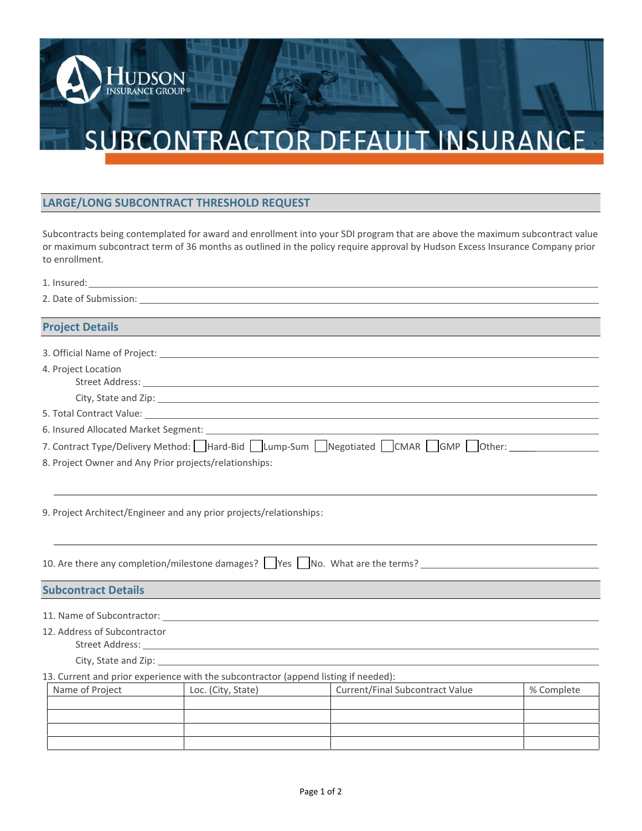## SUBCONTRACTOR DEFAULT INSURANCE

## **LARGE/LONG SUBCONTRACT THRESHOLD REQUEST**

HUDSON

Subcontracts being contemplated for award and enrollment into your SDI program that are above the maximum subcontract value to enrollment. 1. Insured:

| to enrollment.                                         |                                                                                     | or maximum subcontract term of 36 months as outlined in the policy require approval by Hudson Excess Insurance Company prior                                                                                                   |            |
|--------------------------------------------------------|-------------------------------------------------------------------------------------|--------------------------------------------------------------------------------------------------------------------------------------------------------------------------------------------------------------------------------|------------|
|                                                        |                                                                                     |                                                                                                                                                                                                                                |            |
|                                                        |                                                                                     | 2. Date of Submission: 2008 Contract and Contract and Contract and Contract and Contract and Contract and Contract and Contract and Contract and Contract and Contract and Contract and Contract and Contract and Contract and |            |
| <b>Project Details</b>                                 |                                                                                     |                                                                                                                                                                                                                                |            |
|                                                        |                                                                                     |                                                                                                                                                                                                                                |            |
| 4. Project Location                                    |                                                                                     | Street Address: No. 2016. The Committee of the Committee of the Committee of the Committee of the Committee of the Committee of the Committee of the Committee of the Committee of the Committee of the Committee of the Commi |            |
|                                                        |                                                                                     | City, State and Zip: 1988 City, State and Zip:                                                                                                                                                                                 |            |
|                                                        |                                                                                     |                                                                                                                                                                                                                                |            |
|                                                        |                                                                                     | 6. Insured Allocated Market Segment: Learning and Secretary and Secretary and Secretary and Secretary and Secretary and Secretary and Secretary and Secretary and Secretary and Secretary and Secretary and Secretary and Secr |            |
|                                                        |                                                                                     | 7. Contract Type/Delivery Method: Hard-Bid   Lump-Sum   Negotiated   CMAR   GMP   Other:                                                                                                                                       |            |
| 8. Project Owner and Any Prior projects/relationships: |                                                                                     |                                                                                                                                                                                                                                |            |
|                                                        | 9. Project Architect/Engineer and any prior projects/relationships:                 |                                                                                                                                                                                                                                |            |
|                                                        |                                                                                     | 10. Are there any completion/milestone damages? Ves No. What are the terms? 10. Are there any completion/milestone damages? Ves No. What are the terms?                                                                        |            |
| <b>Subcontract Details</b>                             |                                                                                     |                                                                                                                                                                                                                                |            |
|                                                        |                                                                                     | 11. Name of Subcontractor: Lease and Subsets and Subsets and Subsets and Subsets and Subsets and Subsets and Subsets and Subsets and Subsets and Subsets and Subsets and Subsets and Subsets and Subsets and Subsets and Subse |            |
| 12. Address of Subcontractor<br>Street Address: _____  |                                                                                     | and the control of the control of the control of the control of the control of the control of the control of the                                                                                                               |            |
|                                                        | City, State and Zip: 1999. The State of Table 2014. The State of Table 2014.        |                                                                                                                                                                                                                                |            |
|                                                        | 13. Current and prior experience with the subcontractor (append listing if needed): |                                                                                                                                                                                                                                |            |
| Name of Project                                        | Loc. (City, State)                                                                  | <b>Current/Final Subcontract Value</b>                                                                                                                                                                                         | % Complete |
|                                                        |                                                                                     |                                                                                                                                                                                                                                |            |
|                                                        |                                                                                     |                                                                                                                                                                                                                                |            |